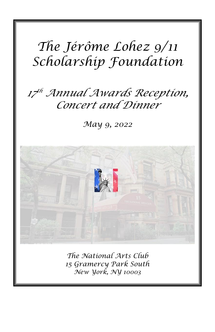# *The Jérôme Lohez 9/11 Scholarship Foundation*

### *17 th Annual Awards Reception, Concert and Dinner*

*May 9, 2022*



*The National Arts Club 15 Gramercy Park South New York, NY 10003*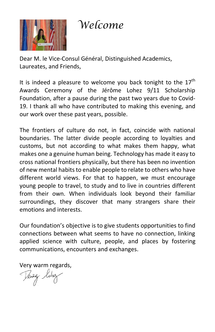

 *Welcome*

Dear M. le Vice-Consul Général, Distinguished Academics, Laureates, and Friends,

It is indeed a pleasure to welcome you back tonight to the  $17^{\text{th}}$ Awards Ceremony of the Jérôme Lohez 9/11 Scholarship Foundation, after a pause during the past two years due to Covid-19. I thank all who have contributed to making this evening, and our work over these past years, possible.

The frontiers of culture do not, in fact, coincide with national boundaries. The latter divide people according to loyalties and customs, but not according to what makes them happy, what makes one a genuine human being. Technology has made it easy to cross national frontiers physically, but there has been no invention of new mental habits to enable people to relate to others who have different world views. For that to happen, we must encourage young people to travel, to study and to live in countries different from their own. When individuals look beyond their familiar surroundings, they discover that many strangers share their emotions and interests.

Our foundation's objective is to give students opportunities to find connections between what seems to have no connection, linking applied science with culture, people, and places by fostering communications, encounters and exchanges.

Very warm regards,

kwij Kohe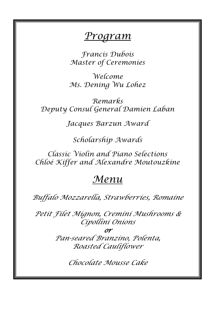#### *Program*

*Francis Dubois Master of Ceremonies*

*Welcome Ms. Dening Wu Lohez*

*Remarks Deputy Consul General Damien Laban*

*Jacques Barzun Award*

*Scholarship Awards*

*Classic Violin and Piano Selections Chloé Kiffer and Alexandre Moutouzkine*

#### *Menu*

*Buffalo Mozzarella, Strawberries, Romaine*

*Petit Filet Mignon, Cremini Mushrooms & Cipollini Onions*

*or* 

*Pan-seared Branzino, Polenta, Roasted Cauliflower*

*Chocolate Mousse Cake*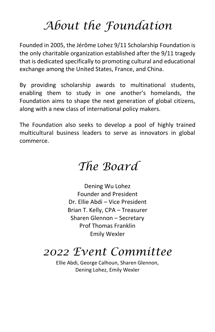## *About the Foundation*

Founded in 2005, the Jérôme Lohez 9/11 Scholarship Foundation is the only charitable organization established after the 9/11 tragedy that is dedicated specifically to promoting cultural and educational exchange among the United States, France, and China.

By providing scholarship awards to multinational students, enabling them to study in one another's homelands, the Foundation aims to shape the next generation of global citizens, along with a new class of international policy makers.

The Foundation also seeks to develop a pool of highly trained multicultural business leaders to serve as innovators in global commerce.

## *The Board*

Dening Wu Lohez Founder and President Dr. Ellie Abdi – Vice President Brian T. Kelly, CPA – Treasurer Sharen Glennon – Secretary Prof Thomas Franklin Emily Wexler

#### *2022 Event Committee*

Ellie Abdi, George Calhoun, Sharen Glennon, Dening Lohez, Emily Wexler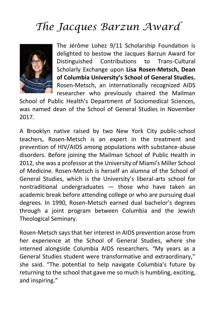## *The Jacques Barzun Award*



The Jérôme Lohez 9/11 Scholarship Foundation is delighted to bestow the Jacques Barzun Award for Distinguished Contributions to Trans-Cultural Scholarly Exchange upon **Lisa Rosen-Metsch, Dean of Columbia University's School of General Studies.** Rosen-Metsch, an internationally recognized AIDS researcher who previously chaired the Mailman

School of Public Health's Department of Sociomedical Sciences, was named dean of the School of General Studies in November 2017.

A Brooklyn native raised by two New York City public-school teachers, Rosen-Metsch is an expert in the treatment and prevention of HIV/AIDS among populations with substance-abuse disorders. Before joining the Mailman School of Public Health in 2012, she was a professor at the University of Miami's Miller School of Medicine. Rosen-Metsch is herself an alumna of the School of General Studies, which is the University's liberal-arts school for nontraditional undergraduates — those who have taken an academic break before attending college or who are pursuing dual degrees. In 1990, Rosen-Metsch earned dual bachelor's degrees through a joint program between Columbia and the Jewish Theological Seminary.

Rosen-Metsch says that her interest in AIDS prevention arose from her experience at the School of General Studies, where she interned alongside Columbia AIDS researchers. "My years as a General Studies student were transformative and extraordinary," she said. "The potential to help navigate Columbia's future by returning to the school that gave me so much is humbling, exciting, and inspiring."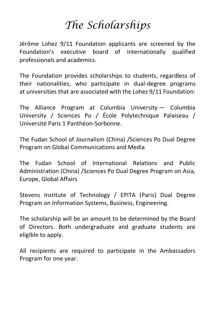### *The Scholarships*

Jérôme Lohez 9/11 Foundation applicants are screened by the Foundation's executive board of internationally qualified professionals and academics.

The Foundation provides scholarships to students, regardless of their nationalities, who participate in dual-degree programs at universities that are associated with the Lohez 9/11 Foundation:

The Alliance Program at Columbia University — Columbia University / Sciences Po / École Polytechnique Palaiseau / Université Paris 1 Panthéon-Sorbonne.

The Fudan School of Journalism (China) /Sciences Po Dual Degree Program on Global Communications and Media

The Fudan School of International Relations and Public Administration (China) /Sciences Po Dual Degree Program on Asia, Europe, Global Affairs

Stevens Institute of Technology / EPITA (Paris) Dual Degree Program on Information Systems, Business, Engineering.

The scholarship will be an amount to be determined by the Board of Directors. Both undergraduate and graduate students are eligible to apply.

All recipients are required to participate in the Ambassadors Program for one year.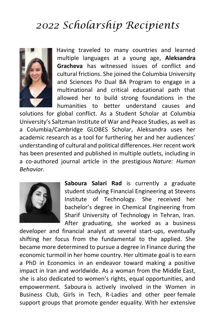#### *2022 Scholarship Recipients*



Having traveled to many countries and learned multiple languages at a young age, **Aleksandra Gracheva** has witnessed issues of conflict and cultural frictions. She joined the Columbia University and Sciences Po Dual BA Program to engage in a multinational and critical educational path that allowed her to build strong foundations in the humanities to better understand causes and

solutions for global conflict. As a Student Scholar at Columbia University's Saltzman Institute of War and Peace Studies, as well as a Columbia/Cambridge GLOBES Scholar, Aleksandra uses her academic research as a tool for furthering her and her audiences' understanding of cultural and political differences. Her recent work has been presented and published in multiple outlets, including in a co-authored journal article in the prestigious *Nature: Human Behavior*.



**Saboura Salari Rad** is currently a graduate student studying Financial Engineering at Stevens Institute of Technology. She received her bachelor's degree in Chemical Engineering from Sharif University of Technology in Tehran, Iran. After graduating, she worked as a business

developer and financial analyst at several start-ups, eventually shifting her focus from the fundamental to the applied. She became more determined to pursue a degree in Finance during the economic turmoil in her home country. Her ultimate goal is to earn a PhD in Economics in an endeavor toward making a positive impact in Iran and worldwide. As a woman from the Middle East, she is also dedicated to women's rights, equal opportunities, and empowerment. Saboura is actively involved in the Women in Business Club, Girls in Tech, R-Ladies and other peer female support groups that promote gender equality. With her extensive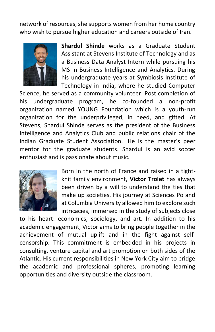network of resources, she supports women from her home country who wish to pursue higher education and careers outside of Iran.



**Shardul Shinde** works as a Graduate Student Assistant at Stevens Institute of Technology and as a Business Data Analyst Intern while pursuing his MS in Business Intelligence and Analytics. During his undergraduate years at Symbiosis Institute of Technology in India, where he studied Computer

Science, he served as a community volunteer. Post completion of his undergraduate program, he co-founded a non-profit organization named YOUNG Foundation which is a youth-run organization for the underprivileged, in need, and gifted. At Stevens, Shardul Shinde serves as the president of the Business Intelligence and Analytics Club and public relations chair of the Indian Graduate Student Association. He is the master's peer mentor for the graduate students. Shardul is an avid soccer enthusiast and is passionate about music.



Born in the north of France and raised in a tightknit family environment, **Victor Trolet** has always been driven by a will to understand the ties that make up societies. His journey at Sciences Po and at Columbia University allowed him to explore such intricacies, immersed in the study of subjects close

to his heart: economics, sociology, and art. In addition to his academic engagement, Victor aims to bring people together in the achievement of mutual uplift and in the fight against selfcensorship. This commitment is embedded in his projects in consulting, venture capital and art promotion on both sides of the Atlantic. His current responsibilities in New York City aim to bridge the academic and professional spheres, promoting learning opportunities and diversity outside the classroom.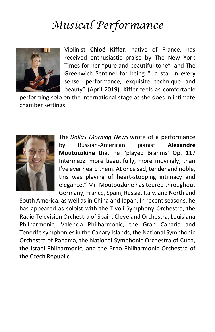#### *Musical Performance*



Violinist **Chloé Kiffer**, native of France, has received enthusiastic praise by The New York Times for her "pure and beautiful tone" and The Greenwich Sentinel for being "…a star in every sense: performance, exquisite technique and beauty" (April 2019). Kiffer feels as comfortable

performing solo on the international stage as she does in intimate chamber settings.



The *Dallas Morning News* wrote of a performance by Russian-American pianist **Alexandre Moutouzkine** that he "played Brahms' Op. 117 Intermezzi more beautifully, more movingly, than I've ever heard them. At once sad, tender and noble, this was playing of heart-stopping intimacy and elegance." Mr. Moutouzkine has toured throughout Germany, France, Spain, Russia, Italy, and North and

South America, as well as in China and Japan. In recent seasons, he has appeared as soloist with the Tivoli Symphony Orchestra, the Radio Television Orchestra of Spain, Cleveland Orchestra, Louisiana Philharmonic, Valencia Philharmonic, the Gran Canaria and Tenerife symphonies in the Canary Islands, the National Symphonic Orchestra of Panama, the National Symphonic Orchestra of Cuba, the Israel Philharmonic, and the Brno Philharmonic Orchestra of the Czech Republic.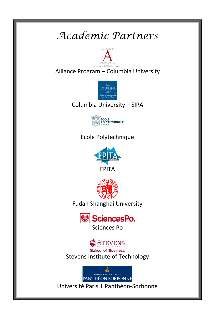### *Academic Partners*



#### Alliance Program – Columbia University



#### Columbia University – SIPA



#### Ecole Polytechnique





Fudan Shanghai University





Stevens Institute of Technology



Université Paris 1 Panthéon-Sorbonne